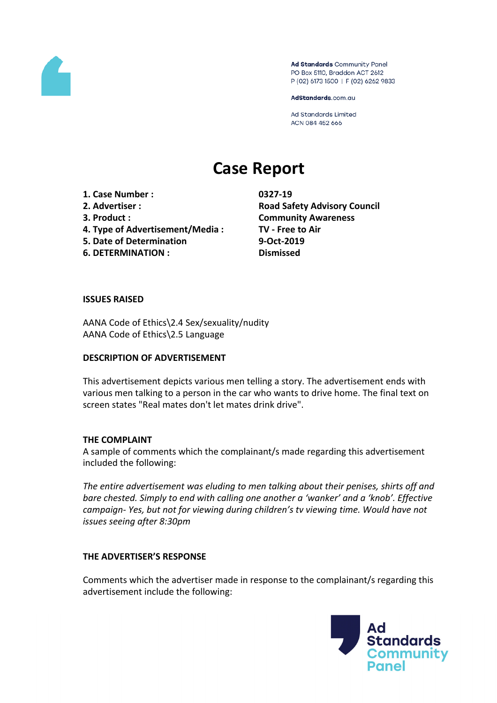

Ad Standards Community Panel PO Box 5110, Braddon ACT 2612 P (02) 6173 1500 | F (02) 6262 9833

AdStandards.com.au

Ad Standards Limited ACN 084 452 666

# **Case Report**

**1. Case Number : 0327-19**

- 
- 
- **4. Type of Advertisement/Media : TV - Free to Air**
- **5. Date of Determination 9-Oct-2019**
- **6. DETERMINATION : Dismissed**

**2. Advertiser : Road Safety Advisory Council 3. Product : Community Awareness**

# **ISSUES RAISED**

AANA Code of Ethics\2.4 Sex/sexuality/nudity AANA Code of Ethics\2.5 Language

# **DESCRIPTION OF ADVERTISEMENT**

This advertisement depicts various men telling a story. The advertisement ends with various men talking to a person in the car who wants to drive home. The final text on screen states "Real mates don't let mates drink drive".

# **THE COMPLAINT**

A sample of comments which the complainant/s made regarding this advertisement included the following:

*The entire advertisement was eluding to men talking about their penises, shirts off and bare chested. Simply to end with calling one another a 'wanker' and a 'knob'. Effective campaign- Yes, but not for viewing during children's tv viewing time. Would have not issues seeing after 8:30pm*

# **THE ADVERTISER'S RESPONSE**

Comments which the advertiser made in response to the complainant/s regarding this advertisement include the following:

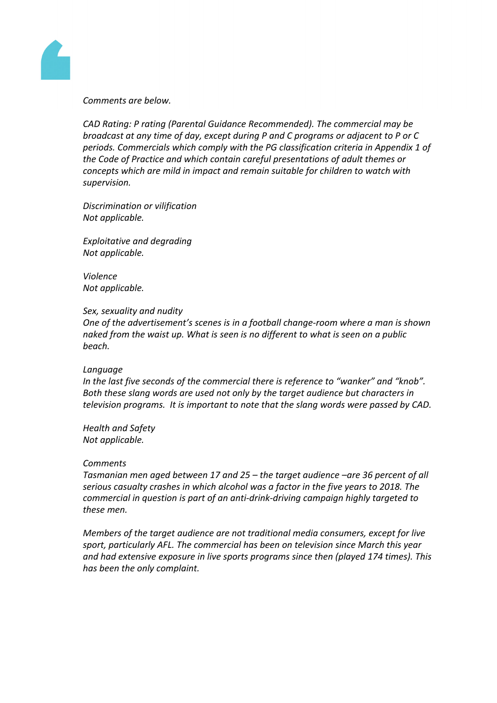

## *Comments are below.*

*CAD Rating: P rating (Parental Guidance Recommended). The commercial may be broadcast at any time of day, except during P and C programs or adjacent to P or C periods. Commercials which comply with the PG classification criteria in Appendix 1 of the Code of Practice and which contain careful presentations of adult themes or concepts which are mild in impact and remain suitable for children to watch with supervision.*

*Discrimination or vilification Not applicable.*

*Exploitative and degrading Not applicable.*

*Violence Not applicable.*

### *Sex, sexuality and nudity*

*One of the advertisement's scenes is in a football change-room where a man is shown naked from the waist up. What is seen is no different to what is seen on a public beach.*

### *Language*

*In the last five seconds of the commercial there is reference to "wanker" and "knob". Both these slang words are used not only by the target audience but characters in television programs. It is important to note that the slang words were passed by CAD.* 

*Health and Safety Not applicable.*

### *Comments*

*Tasmanian men aged between 17 and 25 – the target audience –are 36 percent of all serious casualty crashes in which alcohol was a factor in the five years to 2018. The commercial in question is part of an anti-drink-driving campaign highly targeted to these men.*

*Members of the target audience are not traditional media consumers, except for live sport, particularly AFL. The commercial has been on television since March this year and had extensive exposure in live sports programs since then (played 174 times). This has been the only complaint.*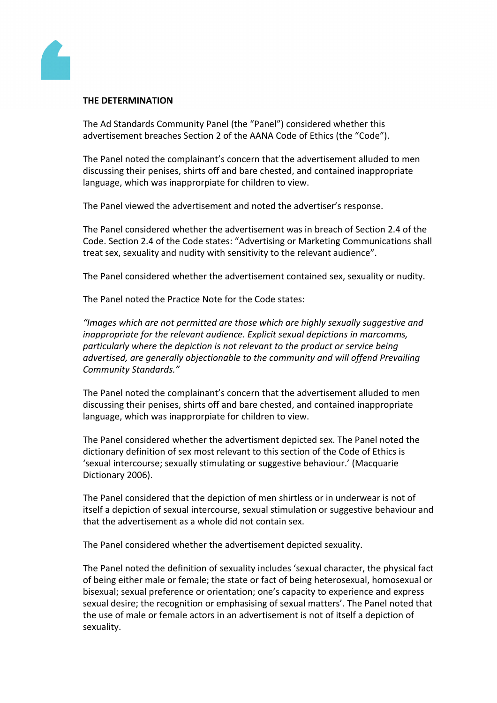

## **THE DETERMINATION**

The Ad Standards Community Panel (the "Panel") considered whether this advertisement breaches Section 2 of the AANA Code of Ethics (the "Code").

The Panel noted the complainant's concern that the advertisement alluded to men discussing their penises, shirts off and bare chested, and contained inappropriate language, which was inapprorpiate for children to view.

The Panel viewed the advertisement and noted the advertiser's response.

The Panel considered whether the advertisement was in breach of Section 2.4 of the Code. Section 2.4 of the Code states: "Advertising or Marketing Communications shall treat sex, sexuality and nudity with sensitivity to the relevant audience".

The Panel considered whether the advertisement contained sex, sexuality or nudity.

The Panel noted the Practice Note for the Code states:

*"Images which are not permitted are those which are highly sexually suggestive and inappropriate for the relevant audience. Explicit sexual depictions in marcomms, particularly where the depiction is not relevant to the product or service being advertised, are generally objectionable to the community and will offend Prevailing Community Standards."*

The Panel noted the complainant's concern that the advertisement alluded to men discussing their penises, shirts off and bare chested, and contained inappropriate language, which was inapprorpiate for children to view.

The Panel considered whether the advertisment depicted sex. The Panel noted the dictionary definition of sex most relevant to this section of the Code of Ethics is 'sexual intercourse; sexually stimulating or suggestive behaviour.' (Macquarie Dictionary 2006).

The Panel considered that the depiction of men shirtless or in underwear is not of itself a depiction of sexual intercourse, sexual stimulation or suggestive behaviour and that the advertisement as a whole did not contain sex.

The Panel considered whether the advertisement depicted sexuality.

The Panel noted the definition of sexuality includes 'sexual character, the physical fact of being either male or female; the state or fact of being heterosexual, homosexual or bisexual; sexual preference or orientation; one's capacity to experience and express sexual desire; the recognition or emphasising of sexual matters'. The Panel noted that the use of male or female actors in an advertisement is not of itself a depiction of sexuality.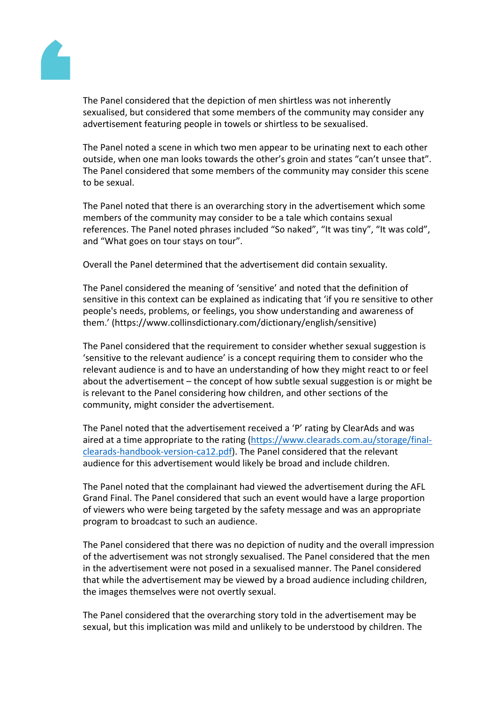ThePanel considered that the depiction men shirtlesswasnot inherently sexualised, butonsidered hat some members of the ommunity may consider any advertisement featuring people intowels or shirtlessto be sexualised.

The Panel noted a scenia which two menappearto be urinating nexto each other outside, whenone manlooks towardsthe other's groin anotates "can't unseethat". ThePanel considered that some members of the community manusider this scene to be sexual.

ThePanel noted that there ian overarching story in thadvertisementwhich some members of the community may conside to be a tale which contains sexual references. The Panel noted phrases scluded "So naked", It was tiny", "It wascold", and "What goes on toustays ontour".

Overallthe Panel determined hat the advertisement didcontain sexuality.

ThePanel considered the meaning of 'sensitive' and noted at the definition of sensitive in this context can be explained as indicating that 'if you re sensitive to the r people's needsproblems,or feelings, youshowunderstanding and wareness of them.' (https://www.collinsdictionary.com/dictionary/english/sensitive)

ThePanel considered that the requiremet to considerwhether sexualsuggestionis 'sensitiveto the relevantaudience' is a concept requirinulgem to considerwho the relevant audience iand to havean understanding fhow they might react to or feel about theadvertisement  $-$  the concept of how subtle sexual passionisor might be is relevant to the Panel considering how hildren, and other sections of the community, mightconsiderthe advertisement.

ThePanel noted that the advertisement received  $\mathbb{R}^n$  rating by ClearAds and as aired ata time appropriate to the rating [\(https://www.clearads.com.au/storage/fin](https://www.clearads.com.au/storage/final-clearads-handbook-version-ca12.pdf)al[clearads-handbook-version-ca12.p](https://www.clearads.com.au/storage/final-clearads-handbook-version-ca12.pdf)dFhe Panel considered that e relevant audience for thisadvertisement would likely beroadand includechildren.

ThePanel noted that the omplainant had viewed the dvertisement during he AFL Grand FinalThe Pane considered that uch an event would have large proportion of viewers whowere being targeted bythe safetymessageand was anappropriate program to broadcast to such an audience.

ThePanel considered that there was no depiction mudity and theoverall impression of the advertisementwasnot stronglysexualised. The anelconsidered hat the men in the advertisementwere not posed in a sexualised anner. The Panel considered that while the advertisement may be viewed a broadaudienceincluding children, the imagesthemselveswere not overtly sexual.

ThePanel considered that the overarching told in theadvertisementmay be sexual, buthis implication was mildand unlikely tobe understoodby children. The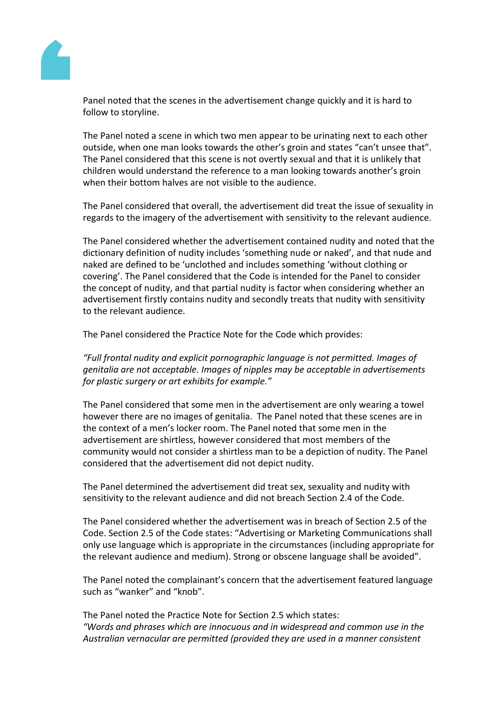

Panel noted that the scenes in the advertisement change quickly and it is hard to follow to storyline.

The Panel noted a scene in which two men appear to be urinating next to each other outside, when one man looks towards the other's groin and states "can't unsee that". The Panel considered that this scene is not overtly sexual and that it is unlikely that children would understand the reference to a man looking towards another's groin when their bottom halves are not visible to the audience.

The Panel considered that overall, the advertisement did treat the issue of sexuality in regards to the imagery of the advertisement with sensitivity to the relevant audience.

The Panel considered whether the advertisement contained nudity and noted that the dictionary definition of nudity includes 'something nude or naked', and that nude and naked are defined to be 'unclothed and includes something 'without clothing or covering'. The Panel considered that the Code is intended for the Panel to consider the concept of nudity, and that partial nudity is factor when considering whether an advertisement firstly contains nudity and secondly treats that nudity with sensitivity to the relevant audience.

The Panel considered the Practice Note for the Code which provides:

*"Full frontal nudity and explicit pornographic language is not permitted. Images of genitalia are not acceptable. Images of nipples may be acceptable in advertisements for plastic surgery or art exhibits for example."*

The Panel considered that some men in the advertisement are only wearing a towel however there are no images of genitalia. The Panel noted that these scenes are in the context of a men's locker room. The Panel noted that some men in the advertisement are shirtless, however considered that most members of the community would not consider a shirtless man to be a depiction of nudity. The Panel considered that the advertisement did not depict nudity.

The Panel determined the advertisement did treat sex, sexuality and nudity with sensitivity to the relevant audience and did not breach Section 2.4 of the Code.

The Panel considered whether the advertisement was in breach of Section 2.5 of the Code. Section 2.5 of the Code states: "Advertising or Marketing Communications shall only use language which is appropriate in the circumstances (including appropriate for the relevant audience and medium). Strong or obscene language shall be avoided".

The Panel noted the complainant's concern that the advertisement featured language such as "wanker" and "knob".

The Panel noted the Practice Note for Section 2.5 which states: *"Words and phrases which are innocuous and in widespread and common use in the Australian vernacular are permitted (provided they are used in a manner consistent*